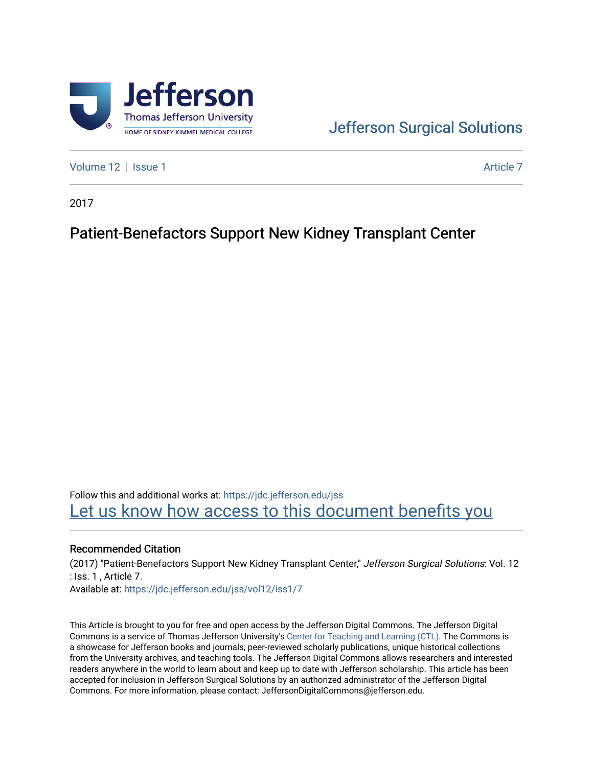

# [Jefferson Surgical Solutions](https://jdc.jefferson.edu/jss)

[Volume 12](https://jdc.jefferson.edu/jss/vol12) | [Issue 1](https://jdc.jefferson.edu/jss/vol12/iss1) Article 7

2017

## Patient-Benefactors Support New Kidney Transplant Center

Follow this and additional works at: [https://jdc.jefferson.edu/jss](https://jdc.jefferson.edu/jss?utm_source=jdc.jefferson.edu%2Fjss%2Fvol12%2Fiss1%2F7&utm_medium=PDF&utm_campaign=PDFCoverPages)  Let us know how access to this document benefits you

### Recommended Citation

(2017) "Patient-Benefactors Support New Kidney Transplant Center," Jefferson Surgical Solutions: Vol. 12 : Iss. 1 , Article 7.

Available at: [https://jdc.jefferson.edu/jss/vol12/iss1/7](https://jdc.jefferson.edu/jss/vol12/iss1/7?utm_source=jdc.jefferson.edu%2Fjss%2Fvol12%2Fiss1%2F7&utm_medium=PDF&utm_campaign=PDFCoverPages)

This Article is brought to you for free and open access by the Jefferson Digital Commons. The Jefferson Digital Commons is a service of Thomas Jefferson University's [Center for Teaching and Learning \(CTL\)](http://www.jefferson.edu/university/teaching-learning.html/). The Commons is a showcase for Jefferson books and journals, peer-reviewed scholarly publications, unique historical collections from the University archives, and teaching tools. The Jefferson Digital Commons allows researchers and interested readers anywhere in the world to learn about and keep up to date with Jefferson scholarship. This article has been accepted for inclusion in Jefferson Surgical Solutions by an authorized administrator of the Jefferson Digital Commons. For more information, please contact: JeffersonDigitalCommons@jefferson.edu.